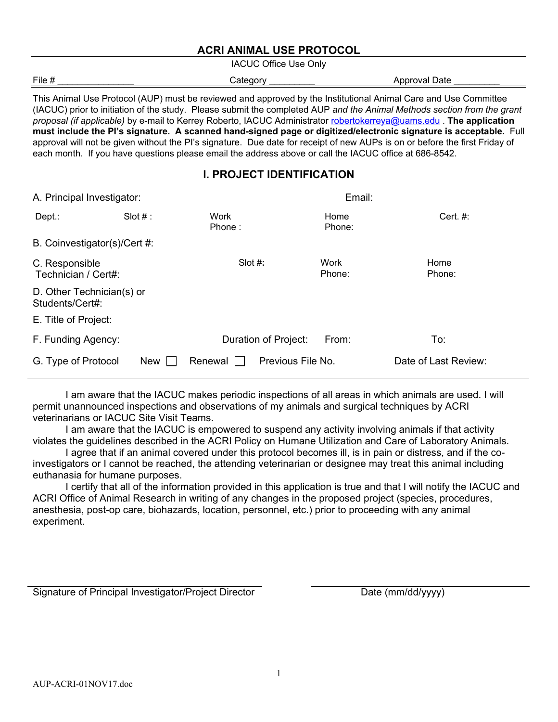#### **ACRI ANIMAL USE PROTOCOL**

IACUC Office Use Only

| File # | 'ataann<br>- 00 U V                      | Annroval<br>Date<br>ור<br>nu |
|--------|------------------------------------------|------------------------------|
|        | the contract of the contract of the<br>. |                              |
|        |                                          |                              |

This Animal Use Protocol (AUP) must be reviewed and approved by the Institutional Animal Care and Use Committee (IACUC) prior to initiation of the study. Please submit the completed AUP *and the Animal Methods section from the grant proposal (if applicable)* by e-mail to Kerrey Roberto, IACUC Administrator [robertokerreya@uams.edu](mailto:robertokerreya@uams.edu) . **The application must include the PI's signature. A scanned hand-signed page or digitized/electronic signature is acceptable.** Full approval will not be given without the PI's signature. Due date for receipt of new AUPs is on or before the first Friday of each month. If you have questions please email the address above or call the IACUC office at 686-8542.

### **I. PROJECT IDENTIFICATION**

| A. Principal Investigator:                   |            |                | Email:               |                |                      |  |  |
|----------------------------------------------|------------|----------------|----------------------|----------------|----------------------|--|--|
| Dept.:                                       | Slot $#$ : | Work<br>Phone: |                      | Home<br>Phone: | Cert. $#$ :          |  |  |
| B. Coinvestigator(s)/Cert #:                 |            |                |                      |                |                      |  |  |
| C. Responsible<br>Technician / Cert#:        |            | Slot $#$ :     |                      | Work<br>Phone: | Home<br>Phone:       |  |  |
| D. Other Technician(s) or<br>Students/Cert#: |            |                |                      |                |                      |  |  |
| E. Title of Project:                         |            |                |                      |                |                      |  |  |
| F. Funding Agency:                           |            |                | Duration of Project: | From:          | To:                  |  |  |
| G. Type of Protocol                          | <b>New</b> | Renewal        | Previous File No.    |                | Date of Last Review: |  |  |

I am aware that the IACUC makes periodic inspections of all areas in which animals are used. I will permit unannounced inspections and observations of my animals and surgical techniques by ACRI veterinarians or IACUC Site Visit Teams.

I am aware that the IACUC is empowered to suspend any activity involving animals if that activity violates the guidelines described in the ACRI Policy on Humane Utilization and Care of Laboratory Animals.

I agree that if an animal covered under this protocol becomes ill, is in pain or distress, and if the coinvestigators or I cannot be reached, the attending veterinarian or designee may treat this animal including euthanasia for humane purposes.

I certify that all of the information provided in this application is true and that I will notify the IACUC and ACRI Office of Animal Research in writing of any changes in the proposed project (species, procedures, anesthesia, post-op care, biohazards, location, personnel, etc.) prior to proceeding with any animal experiment.

Signature of Principal Investigator/Project Director Date (mm/dd/yyyy)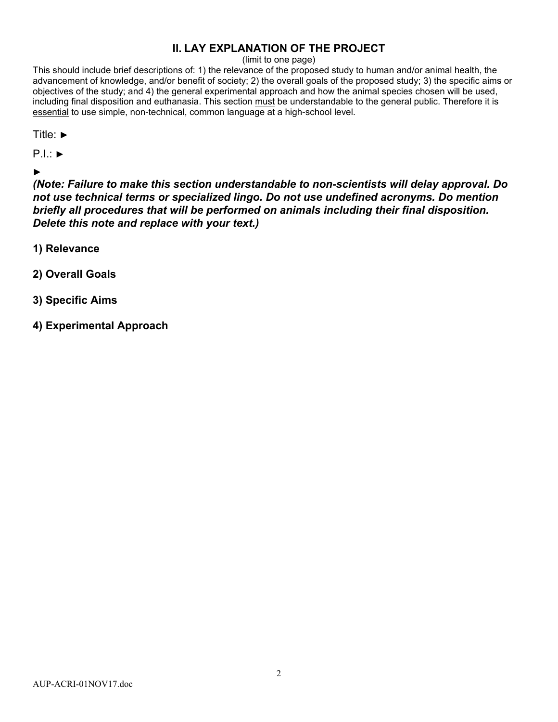# **II. LAY EXPLANATION OF THE PROJECT**

#### (limit to one page)

This should include brief descriptions of: 1) the relevance of the proposed study to human and/or animal health, the advancement of knowledge, and/or benefit of society; 2) the overall goals of the proposed study; 3) the specific aims or objectives of the study; and 4) the general experimental approach and how the animal species chosen will be used, including final disposition and euthanasia. This section must be understandable to the general public. Therefore it is essential to use simple, non-technical, common language at a high-school level.

| Title: $▶$                                                                                                                                                                                                                                                                                                                                                       |  |
|------------------------------------------------------------------------------------------------------------------------------------------------------------------------------------------------------------------------------------------------------------------------------------------------------------------------------------------------------------------|--|
| $P.I.:\triangleright$                                                                                                                                                                                                                                                                                                                                            |  |
| $\blacktriangleright$<br>(Note: Failure to make this section understandable to non-scientists will delay approval. Do<br>not use technical terms or specialized lingo. Do not use undefined acronyms. Do mention<br>briefly all procedures that will be performed on animals including their final disposition.<br>Delete this note and replace with your text.) |  |
| 1) Relevance                                                                                                                                                                                                                                                                                                                                                     |  |
| 2) Overall Goals                                                                                                                                                                                                                                                                                                                                                 |  |
| 3) Specific Aims                                                                                                                                                                                                                                                                                                                                                 |  |

**4) Experimental Approach**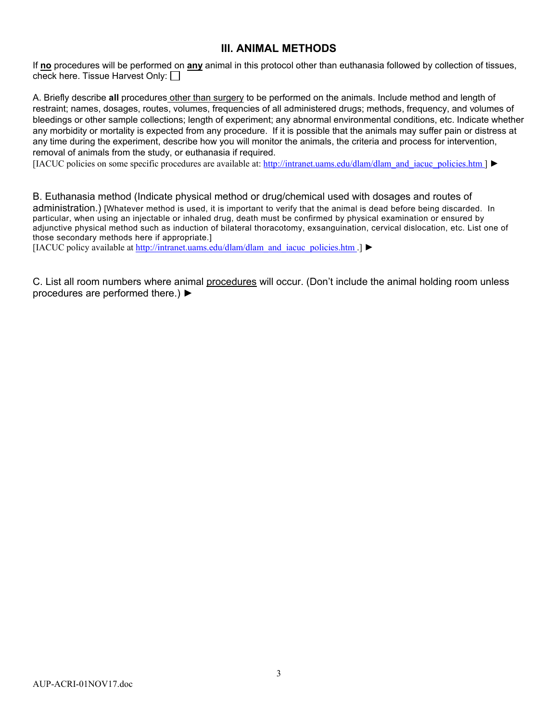#### **III. ANIMAL METHODS**

If **no** procedures will be performed on **any** animal in this protocol other than euthanasia followed by collection of tissues, check here. Tissue Harvest Only:

A. Briefly describe **all** procedures other than surgery to be performed on the animals. Include method and length of restraint; names, dosages, routes, volumes, frequencies of all administered drugs; methods, frequency, and volumes of bleedings or other sample collections; length of experiment; any abnormal environmental conditions, etc. Indicate whether any morbidity or mortality is expected from any procedure. If it is possible that the animals may suffer pain or distress at any time during the experiment, describe how you will monitor the animals, the criteria and process for intervention, removal of animals from the study, or euthanasia if required.

[IACUC policies on some specific procedures are available at: [http://intranet.uams.edu/dlam/dlam\\_and\\_iacuc\\_policies.htm](http://intranet.uams.edu/dlam/dlam_and_iacuc_policies.htm) ] ►

B. Euthanasia method (Indicate physical method or drug/chemical used with dosages and routes of administration.) [Whatever method is used, it is important to verify that the animal is dead before being discarded. In particular, when using an injectable or inhaled drug, death must be confirmed by physical examination or ensured by adjunctive physical method such as induction of bilateral thoracotomy, exsanguination, cervical dislocation, etc. List one of those secondary methods here if appropriate.]

[IACUC policy available at [http://intranet.uams.edu/dlam/dlam\\_and\\_iacuc\\_policies.htm](http://intranet.uams.edu/dlam/dlam_and_iacuc_policies.htm) .] ►

C. List all room numbers where animal procedures will occur. (Don't include the animal holding room unless procedures are performed there.) ►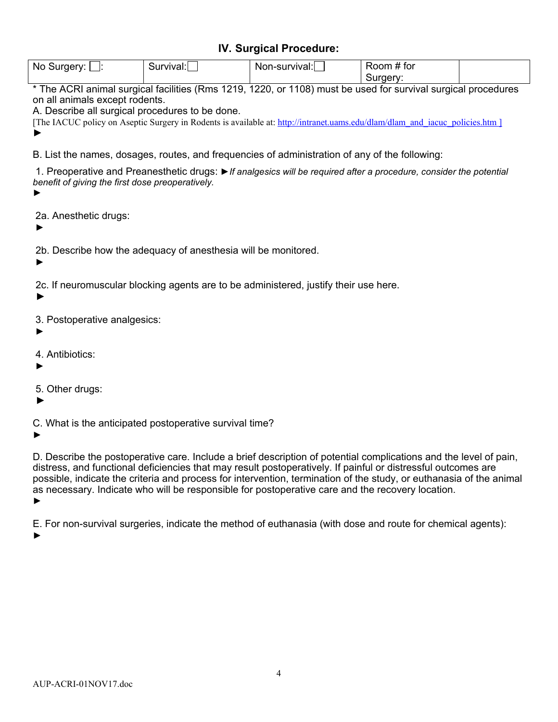## **IV. Surgical Procedure:**

| No<br>nerv.<br>ּוור | Survival., | survivai.,<br>Non-su | tor<br>$-$<br><b>JOON</b><br>- |  |
|---------------------|------------|----------------------|--------------------------------|--|
|                     |            |                      | וו ו                           |  |

\* The ACRI animal surgical facilities (Rms 1219, 1220, or 1108) must be used for survival surgical procedures on all animals except rodents.

A. Describe all surgical procedures to be done.

[The IACUC policy on Aseptic Surgery in Rodents is available at: [http://intranet.uams.edu/dlam/dlam\\_and\\_iacuc\\_policies.htm](http://intranet.uams.edu/dlam/dlam_and_iacuc_policies.htm) ] ►

B. List the names, dosages, routes, and frequencies of administration of any of the following:

1. Preoperative and Preanesthetic drugs: ►*If analgesics will be required after a procedure, consider the potential benefit of giving the first dose preoperatively.*

►

2a. Anesthetic drugs:

►

2b. Describe how the adequacy of anesthesia will be monitored.

►

2c. If neuromuscular blocking agents are to be administered, justify their use here.

►

3. Postoperative analgesics:

- ►
- 4. Antibiotics:
- ►

5. Other drugs:

►

C. What is the anticipated postoperative survival time?

►

D. Describe the postoperative care. Include a brief description of potential complications and the level of pain, distress, and functional deficiencies that may result postoperatively. If painful or distressful outcomes are possible, indicate the criteria and process for intervention, termination of the study, or euthanasia of the animal as necessary. Indicate who will be responsible for postoperative care and the recovery location. ►

E. For non-survival surgeries, indicate the method of euthanasia (with dose and route for chemical agents): ►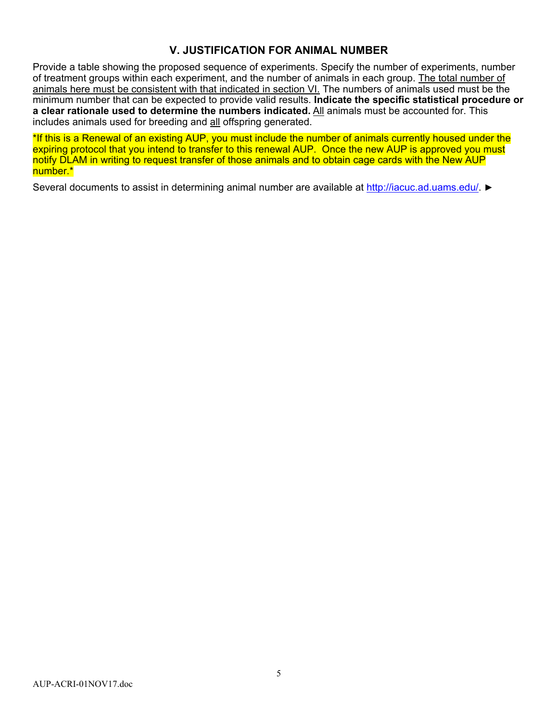### **V. JUSTIFICATION FOR ANIMAL NUMBER**

Provide a table showing the proposed sequence of experiments. Specify the number of experiments, number of treatment groups within each experiment, and the number of animals in each group. The total number of animals here must be consistent with that indicated in section VI. The numbers of animals used must be the minimum number that can be expected to provide valid results. **Indicate the specific statistical procedure or a clear rationale used to determine the numbers indicated.** All animals must be accounted for. This includes animals used for breeding and all offspring generated.

\*If this is a Renewal of an existing AUP, you must include the number of animals currently housed under the expiring protocol that you intend to transfer to this renewal AUP. Once the new AUP is approved you must notify DLAM in writing to request transfer of those animals and to obtain cage cards with the New AUP number.\*

Several documents to assist in determining animal number are available at [http://iacuc.ad.uams.edu/.](http://iacuc.ad.uams.edu/) ►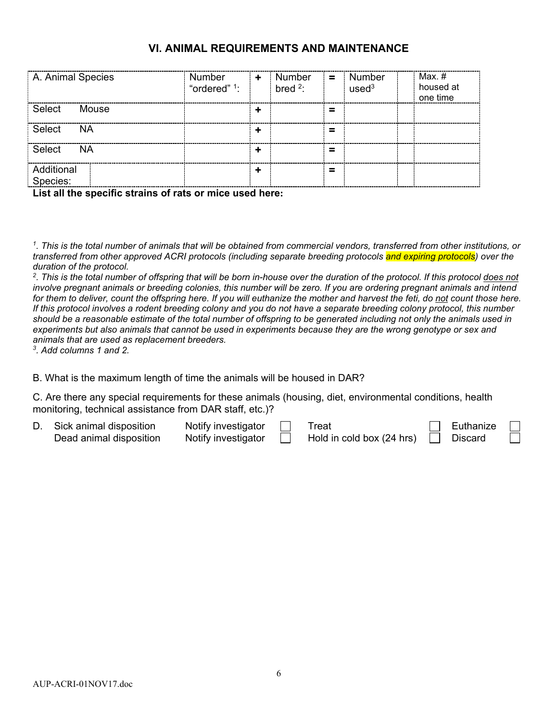### **VI. ANIMAL REQUIREMENTS AND MAINTENANCE**

| A. Animal Species      | Number<br>"ordered" <sup>1</sup> : | ÷ | Number<br>bred $2$ : | $\equiv$ | Number<br>used <sup>3</sup> | Max. #<br>housed at<br>one time |
|------------------------|------------------------------------|---|----------------------|----------|-----------------------------|---------------------------------|
| Select<br>Mouse        |                                    |   |                      | $\equiv$ |                             |                                 |
| Select<br><b>NA</b>    |                                    |   |                      | -<br>-   |                             |                                 |
| Select<br><b>NA</b>    |                                    | ┻ |                      | -<br>-   |                             |                                 |
| Additional<br>Species: |                                    |   |                      | -<br>-   |                             |                                 |

**List all the specific strains of rats or mice used here:**

*1. This is the total number of animals that will be obtained from commercial vendors, transferred from other institutions, or transferred from other approved ACRI protocols (including separate breeding protocols and expiring protocols) over the duration of the protocol.*

*2. This is the total number of offspring that will be born in-house over the duration of the protocol. If this protocol does not involve pregnant animals or breeding colonies, this number will be zero. If you are ordering pregnant animals and intend for them to deliver, count the offspring here. If you will euthanize the mother and harvest the feti, do not count those here. If this protocol involves a rodent breeding colony and you do not have a separate breeding colony protocol, this number should be a reasonable estimate of the total number of offspring to be generated including not only the animals used in experiments but also animals that cannot be used in experiments because they are the wrong genotype or sex and animals that are used as replacement breeders.* 

*3. Add columns 1 and 2.*

B. What is the maximum length of time the animals will be housed in DAR?

C. Are there any special requirements for these animals (housing, diet, environmental conditions, health monitoring, technical assistance from DAR staff, etc.)?

| Sick animal disposition | Notify investigator | Treat                     | Euthanize      |  |
|-------------------------|---------------------|---------------------------|----------------|--|
| Dead animal disposition | Notify investigator | Hold in cold box (24 hrs) | <b>Discard</b> |  |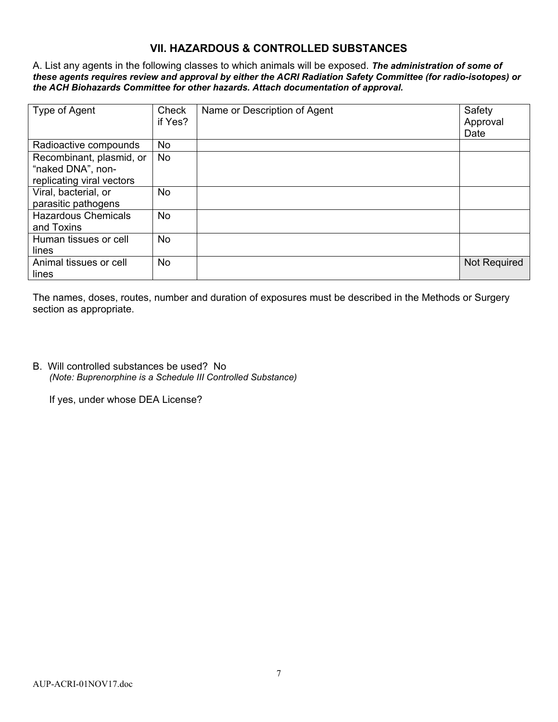## **VII. HAZARDOUS & CONTROLLED SUBSTANCES**

A. List any agents in the following classes to which animals will be exposed. *The administration of some of these agents requires review and approval by either the ACRI Radiation Safety Committee (for radio-isotopes) or the ACH Biohazards Committee for other hazards. Attach documentation of approval.* 

| Type of Agent                                                              | Check<br>if Yes? | Name or Description of Agent | Safety<br>Approval<br>Date |
|----------------------------------------------------------------------------|------------------|------------------------------|----------------------------|
| Radioactive compounds                                                      | No               |                              |                            |
| Recombinant, plasmid, or<br>"naked DNA", non-<br>replicating viral vectors | No               |                              |                            |
| Viral, bacterial, or<br>parasitic pathogens                                | No.              |                              |                            |
| <b>Hazardous Chemicals</b><br>and Toxins                                   | No               |                              |                            |
| Human tissues or cell<br>lines                                             | No               |                              |                            |
| Animal tissues or cell<br>lines                                            | No               |                              | <b>Not Required</b>        |

The names, doses, routes, number and duration of exposures must be described in the Methods or Surgery section as appropriate.

B. Will controlled substances be used? No *(Note: Buprenorphine is a Schedule III Controlled Substance)*

If yes, under whose DEA License?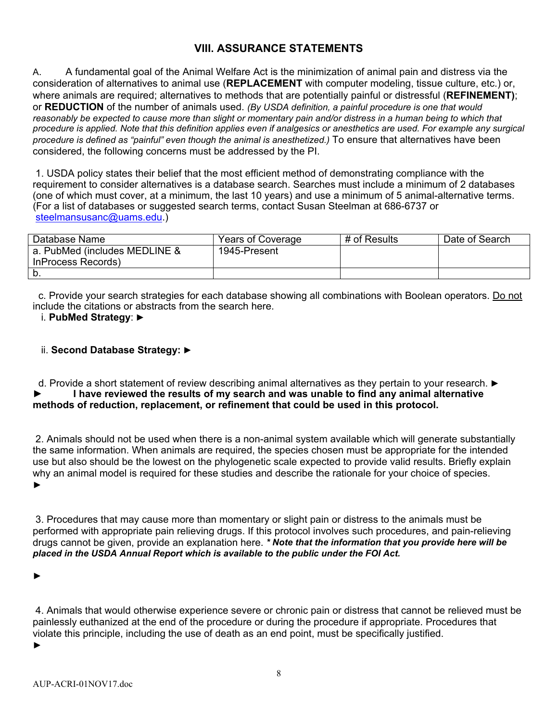## **VIII. ASSURANCE STATEMENTS**

A. A fundamental goal of the Animal Welfare Act is the minimization of animal pain and distress via the consideration of alternatives to animal use (**REPLACEMENT** with computer modeling, tissue culture, etc.) or, where animals are required; alternatives to methods that are potentially painful or distressful (**REFINEMENT)**; or **REDUCTION** of the number of animals used. *(By USDA definition, a painful procedure is one that would*  reasonably be expected to cause more than slight or momentary pain and/or distress in a human being to which that *procedure is applied. Note that this definition applies even if analgesics or anesthetics are used. For example any surgical procedure is defined as "painful" even though the animal is anesthetized.)* To ensure that alternatives have been considered, the following concerns must be addressed by the PI.

1. USDA policy states their belief that the most efficient method of demonstrating compliance with the requirement to consider alternatives is a database search. Searches must include a minimum of 2 databases (one of which must cover, at a minimum, the last 10 years) and use a minimum of 5 animal-alternative terms. (For a list of databases or suggested search terms, contact Susan Steelman at 686-6737 or [steelmansusanc@uams.edu.](mailto:steelmansusanc@uams.edu))

| Database Name                 | Years of Coverage | # of Results | Date of Search |
|-------------------------------|-------------------|--------------|----------------|
| a. PubMed (includes MEDLINE & | 1945-Present      |              |                |
| InProcess Records)            |                   |              |                |
| N.                            |                   |              |                |

 c. Provide your search strategies for each database showing all combinations with Boolean operators. Do not include the citations or abstracts from the search here.

i. **PubMed Strategy**: ►

#### ii. **Second Database Strategy:** ►

#### d. Provide a short statement of review describing animal alternatives as they pertain to your research. ► **► I have reviewed the results of my search and was unable to find any animal alternative methods of reduction, replacement, or refinement that could be used in this protocol.**

2. Animals should not be used when there is a non-animal system available which will generate substantially the same information. When animals are required, the species chosen must be appropriate for the intended use but also should be the lowest on the phylogenetic scale expected to provide valid results. Briefly explain why an animal model is required for these studies and describe the rationale for your choice of species. ►

3. Procedures that may cause more than momentary or slight pain or distress to the animals must be performed with appropriate pain relieving drugs. If this protocol involves such procedures, and pain-relieving drugs cannot be given, provide an explanation here. *\* Note that the information that you provide here will be placed in the USDA Annual Report which is available to the public under the FOI Act.*

►

4. Animals that would otherwise experience severe or chronic pain or distress that cannot be relieved must be painlessly euthanized at the end of the procedure or during the procedure if appropriate. Procedures that violate this principle, including the use of death as an end point, must be specifically justified. ►